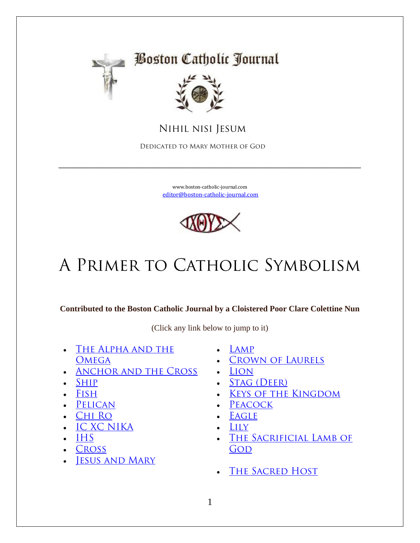

# **Boston Catholic Journal**



 **Nihil nisi Jesum**

 **Dedicated to Mary Mother of God**

[www.boston-catholic-journal.com](http://www.boston-catholic-journal.com/) [editor@boston-catholic-journal.com](mailto:editor@boston-catholic-journal.com)

\_\_\_\_\_\_\_\_\_\_\_\_\_\_\_\_\_\_\_\_\_\_\_\_\_\_\_\_\_\_\_\_\_\_\_\_\_\_\_\_\_\_\_\_\_\_\_\_\_\_\_\_\_\_\_\_\_\_\_\_\_\_\_



# **A Primer to Catholic Symbolism**

**Contributed to the Boston Catholic Journal by a Cloistered Poor Clare Colettine Nun**

(Click any link below to jump to it)

- **[The Alpha and the](http://www.boston-catholic-journal.com/a-primer-to-catholic-symbolism.htm#The_Apha_and_the_Omega_—_the_Beginning_and_the_End_)  [Omega](http://www.boston-catholic-journal.com/a-primer-to-catholic-symbolism.htm#The_Apha_and_the_Omega_—_the_Beginning_and_the_End_)**
- **[Anchor and the Cross](http://www.boston-catholic-journal.com/a-primer-to-catholic-symbolism.htm#The_Anchor_and_the_Cross__)**
- **[Ship](http://www.boston-catholic-journal.com/a-primer-to-catholic-symbolism.htm#The_Ship_)**
- **[Fish](http://www.boston-catholic-journal.com/a-primer-to-catholic-symbolism.htm#The_Fish_)**
- **[Pelican](http://www.boston-catholic-journal.com/a-primer-to-catholic-symbolism.htm#The_Pelican_)**
- **[Chi Ro](http://www.boston-catholic-journal.com/a-primer-to-catholic-symbolism.htm#Chi_Ro_)**
- **[IC XC NIKA](http://www.boston-catholic-journal.com/a-primer-to-catholic-symbolism.htm#IC_XC_NIKA_)**
- **[IHS](http://www.boston-catholic-journal.com/a-primer-to-catholic-symbolism.htm#IHS_)**
- **[Cross](http://www.boston-catholic-journal.com/a-primer-to-catholic-symbolism.htm#IHS_)**
- **[Jesus and Mary](http://www.boston-catholic-journal.com/a-primer-to-catholic-symbolism.htm#Jesus_and_Mary)**
- **[Lamp](http://www.boston-catholic-journal.com/a-primer-to-catholic-symbolism.htm#The_Lamp_)**
- **[Crown of Laurels](http://www.boston-catholic-journal.com/a-primer-to-catholic-symbolism.htm#The_Crown_of_Laurels_)**
- **[Lion](http://www.boston-catholic-journal.com/a-primer-to-catholic-symbolism.htm#The_Lion_)**
- **[Stag \(Deer\)](http://www.boston-catholic-journal.com/a-primer-to-catholic-symbolism.htm#The_Stag_(Deer)_)**
- **[Keys of the Kingdom](http://www.boston-catholic-journal.com/a-primer-to-catholic-symbolism.htm#The_Keys_of_the_Kingdom_)**
- **[Peacock](http://www.boston-catholic-journal.com/a-primer-to-catholic-symbolism.htm#The_Peacock)**
- **[Eagle](http://www.boston-catholic-journal.com/a-primer-to-catholic-symbolism.htm#The_Eagle_)**
- **[Lily](http://www.boston-catholic-journal.com/a-primer-to-catholic-symbolism.htm#The_Lily)**
- **[The Sacrificial Lamb of](http://www.boston-catholic-journal.com/a-primer-to-catholic-symbolism.htm#The_Sacrificial_Lamb_of_God_—_Jesus_Christ)**  GOD
- **[The Sacred Host](http://www.boston-catholic-journal.com/a-primer-to-catholic-symbolism.htm#The_Sacred_Host_imprinted_with_the_Christogram_)**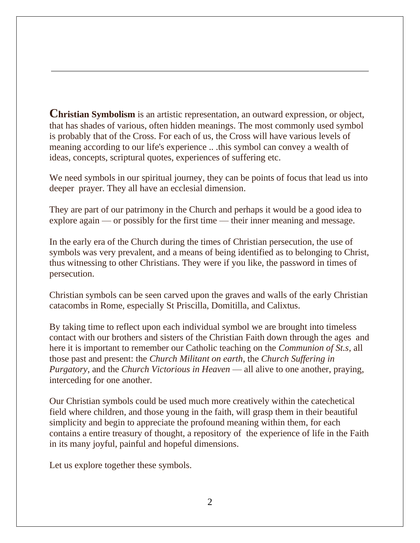**Christian Symbolism** is an artistic representation, an outward expression, or object, that has shades of various, often hidden meanings. The most commonly used symbol is probably that of the Cross. For each of us, the Cross will have various levels of meaning according to our life's experience .. .this symbol can convey a wealth of ideas, concepts, scriptural quotes, experiences of suffering etc.

We need symbols in our spiritual journey, they can be points of focus that lead us into deeper prayer. They all have an ecclesial dimension.

They are part of our patrimony in the Church and perhaps it would be a good idea to explore again — or possibly for the first time — their inner meaning and message.

In the early era of the Church during the times of Christian persecution, the use of symbols was very prevalent, and a means of being identified as to belonging to Christ, thus witnessing to other Christians. They were if you like, the password in times of persecution.

Christian symbols can be seen carved upon the graves and walls of the early Christian catacombs in Rome, especially St Priscilla, Domitilla, and Calixtus.

By taking time to reflect upon each individual symbol we are brought into timeless contact with our brothers and sisters of the Christian Faith down through the ages and here it is important to remember our Catholic teaching on the *Communion of St.s*, all those past and present: the *Church Militant on earth*, the *Church Suffering in Purgatory*, and the *Church Victorious in Heaven* — all alive to one another, praying, interceding for one another.

Our Christian symbols could be used much more creatively within the catechetical field where children, and those young in the faith, will grasp them in their beautiful simplicity and begin to appreciate the profound meaning within them, for each contains a entire treasury of thought, a repository of the experience of life in the Faith in its many joyful, painful and hopeful dimensions.

Let us explore together these symbols.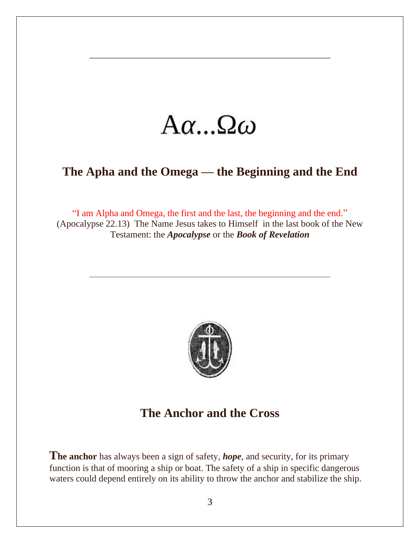# $A\alpha...\Omega\omega$

# **The Apha and the Omega — the Beginning and the End**

"I am Alpha and Omega, the first and the last, the beginning and the end." (Apocalypse 22.13) The Name Jesus takes to Himself in the last book of the New Testament: the *Apocalypse* or the *Book of Revelation*



### **The Anchor and the Cross**

**The anchor** has always been a sign of safety, *hope*, and security, for its primary function is that of mooring a ship or boat. The safety of a ship in specific dangerous waters could depend entirely on its ability to throw the anchor and stabilize the ship.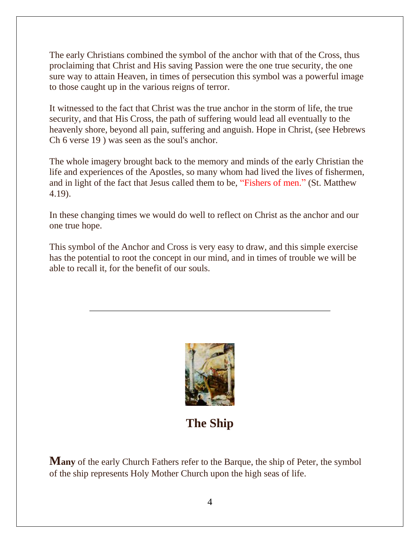The early Christians combined the symbol of the anchor with that of the Cross, thus proclaiming that Christ and His saving Passion were the one true security, the one sure way to attain Heaven, in times of persecution this symbol was a powerful image to those caught up in the various reigns of terror.

It witnessed to the fact that Christ was the true anchor in the storm of life, the true security, and that His Cross, the path of suffering would lead all eventually to the heavenly shore, beyond all pain, suffering and anguish. Hope in Christ, (see Hebrews Ch 6 verse 19 ) was seen as the soul's anchor.

The whole imagery brought back to the memory and minds of the early Christian the life and experiences of the Apostles, so many whom had lived the lives of fishermen, and in light of the fact that Jesus called them to be, "Fishers of men." (St. Matthew 4.19).

In these changing times we would do well to reflect on Christ as the anchor and our one true hope.

This symbol of the Anchor and Cross is very easy to draw, and this simple exercise has the potential to root the concept in our mind, and in times of trouble we will be able to recall it, for the benefit of our souls.



**The Ship**

**Many** of the early Church Fathers refer to the Barque, the ship of Peter, the symbol of the ship represents Holy Mother Church upon the high seas of life.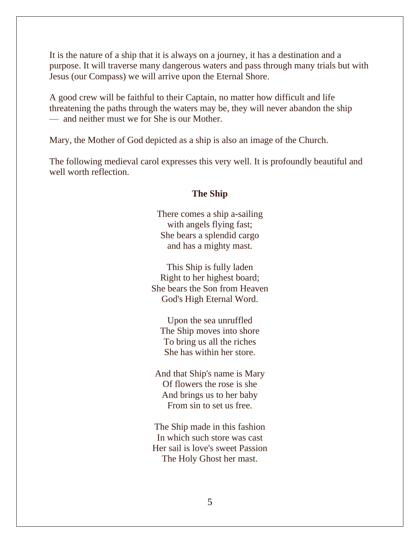It is the nature of a ship that it is always on a journey, it has a destination and a purpose. It will traverse many dangerous waters and pass through many trials but with Jesus (our Compass) we will arrive upon the Eternal Shore.

A good crew will be faithful to their Captain, no matter how difficult and life threatening the paths through the waters may be, they will never abandon the ship — and neither must we for She is our Mother.

Mary, the Mother of God depicted as a ship is also an image of the Church.

The following medieval carol expresses this very well. It is profoundly beautiful and well worth reflection.

#### **The Ship**

There comes a ship a-sailing with angels flying fast; She bears a splendid cargo and has a mighty mast.

This Ship is fully laden Right to her highest board; She bears the Son from Heaven God's High Eternal Word.

Upon the sea unruffled The Ship moves into shore To bring us all the riches She has within her store.

And that Ship's name is Mary Of flowers the rose is she And brings us to her baby From sin to set us free.

The Ship made in this fashion In which such store was cast Her sail is love's sweet Passion The Holy Ghost her mast.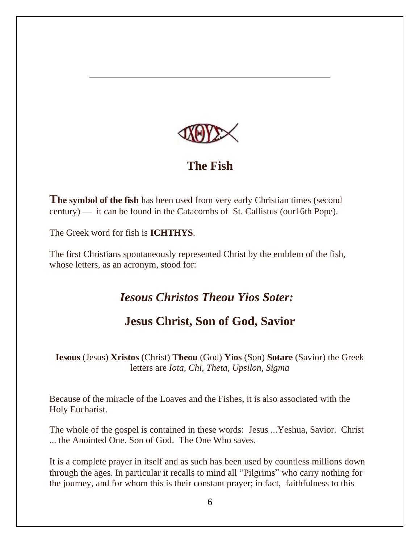

#### **The Fish**

**The symbol of the fish** has been used from very early Christian times (second century) — it can be found in the Catacombs of St. Callistus (our16th Pope).

The Greek word for fish is **ICHTHYS**.

The first Christians spontaneously represented Christ by the emblem of the fish, whose letters, as an acronym, stood for:

### *Iesous Christos Theou Yios Soter:*

# **Jesus Christ, Son of God, Savior**

**Iesous** (Jesus) **Xristos** (Christ) **Theou** (God) **Yios** (Son) **Sotare** (Savior) the Greek letters are *Iota, Chi, Theta, Upsilon, Sigma*

Because of the miracle of the Loaves and the Fishes, it is also associated with the Holy Eucharist.

The whole of the gospel is contained in these words: Jesus ...Yeshua, Savior. Christ ... the Anointed One. Son of God. The One Who saves.

It is a complete prayer in itself and as such has been used by countless millions down through the ages. In particular it recalls to mind all "Pilgrims" who carry nothing for the journey, and for whom this is their constant prayer; in fact, faithfulness to this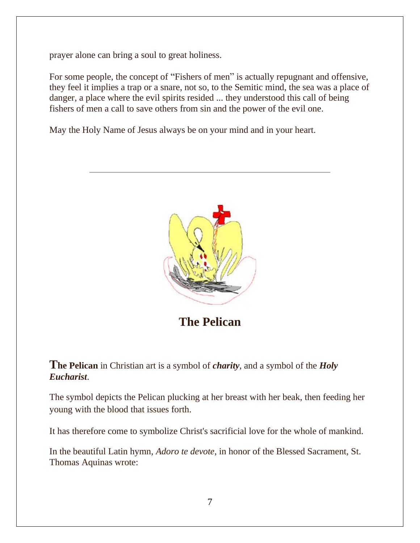prayer alone can bring a soul to great holiness.

For some people, the concept of "Fishers of men" is actually repugnant and offensive, they feel it implies a trap or a snare, not so, to the Semitic mind, the sea was a place of danger, a place where the evil spirits resided ... they understood this call of being fishers of men a call to save others from sin and the power of the evil one.

May the Holy Name of Jesus always be on your mind and in your heart.



**The Pelican**

**The Pelican** in Christian art is a symbol of *charity*, and a symbol of the *Holy Eucharist*.

The symbol depicts the Pelican plucking at her breast with her beak, then feeding her young with the blood that issues forth.

It has therefore come to symbolize Christ's sacrificial love for the whole of mankind.

In the beautiful Latin hymn, *Adoro te devote*, in honor of the Blessed Sacrament, St. Thomas Aquinas wrote: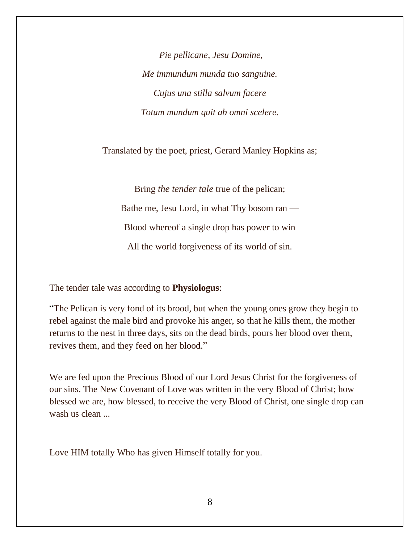*Pie pellicane, Jesu Domine, Me immundum munda tuo sanguine. Cujus una stilla salvum facere Totum mundum quit ab omni scelere.*

Translated by the poet, priest, Gerard Manley Hopkins as;

Bring *the tender tale* true of the pelican; Bathe me, Jesu Lord, in what Thy bosom ran — Blood whereof a single drop has power to win All the world forgiveness of its world of sin.

The tender tale was according to **Physiologus**:

"The Pelican is very fond of its brood, but when the young ones grow they begin to rebel against the male bird and provoke his anger, so that he kills them, the mother returns to the nest in three days, sits on the dead birds, pours her blood over them, revives them, and they feed on her blood."

We are fed upon the Precious Blood of our Lord Jesus Christ for the forgiveness of our sins. The New Covenant of Love was written in the very Blood of Christ; how blessed we are, how blessed, to receive the very Blood of Christ, one single drop can wash us clean ...

Love HIM totally Who has given Himself totally for you.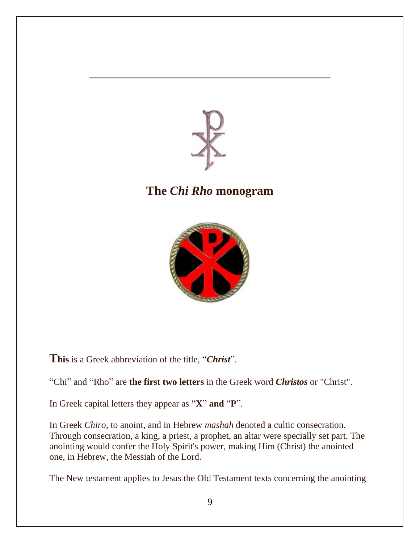

# **The** *Chi Rho* **monogram**



**This** is a Greek abbreviation of the title, "*Christ*".

"Chi" and "Rho" are **the first two letters** in the Greek word *Christos* or "Christ".

In Greek capital letters they appear as "**X**" **and** "**P**".

In Greek *Chiro*, to anoint, and in Hebrew *mashah* denoted a cultic consecration. Through consecration, a king, a priest, a prophet, an altar were specially set part. The anointing would confer the Holy Spirit's power, making Him (Christ) the anointed one, in Hebrew, the Messiah of the Lord.

The New testament applies to Jesus the Old Testament texts concerning the anointing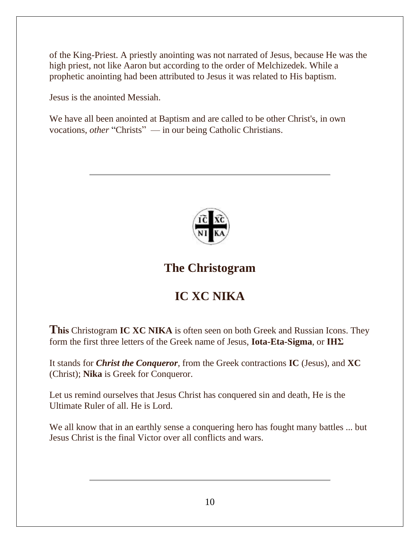of the King-Priest. A priestly anointing was not narrated of Jesus, because He was the high priest, not like Aaron but according to the order of Melchizedek. While a prophetic anointing had been attributed to Jesus it was related to His baptism.

Jesus is the anointed Messiah.

We have all been anointed at Baptism and are called to be other Christ's, in own vocations, *other* "Christs" — in our being Catholic Christians.



# **The Christogram**

# **IC XC NIKA**

**This** Christogram **IC XC NIKA** is often seen on both Greek and Russian Icons. They form the first three letters of the Greek name of Jesus, **Iota-Eta-Sigma**, or **ΙΗΣ**

It stands for *Christ the Conqueror*, from the Greek contractions **IC** (Jesus), and **XC** (Christ); **Nika** is Greek for Conqueror.

Let us remind ourselves that Jesus Christ has conquered sin and death, He is the Ultimate Ruler of all. He is Lord.

We all know that in an earthly sense a conquering hero has fought many battles ... but Jesus Christ is the final Victor over all conflicts and wars.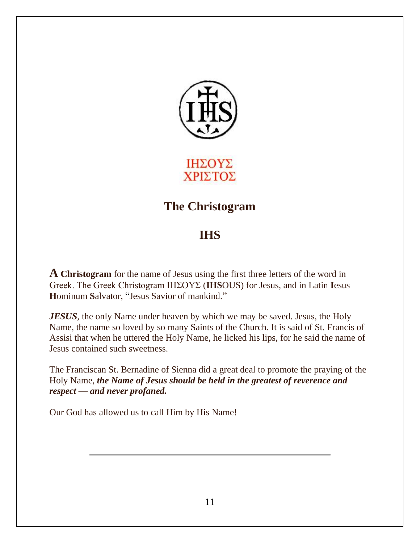

ΙΗΣΟΥΣ ΧΡΙΣΤΟΣ

# **The Christogram**

# **IHS**

**A Christogram** for the name of Jesus using the first three letters of the word in Greek. The Greek Christogram ΙΗΣΟΥΣ (**IHS**OUS) for Jesus, and in Latin **I**esus **H**ominum **S**alvator, "Jesus Savior of mankind."

*JESUS*, the only Name under heaven by which we may be saved. Jesus, the Holy Name, the name so loved by so many Saints of the Church. It is said of St. Francis of Assisi that when he uttered the Holy Name, he licked his lips, for he said the name of Jesus contained such sweetness.

The Franciscan St. Bernadine of Sienna did a great deal to promote the praying of the Holy Name, *the Name of Jesus should be held in the greatest of reverence and respect — and never profaned.*

Our God has allowed us to call Him by His Name!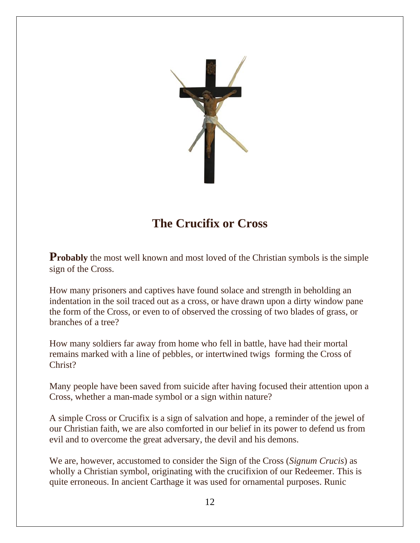

# **The Crucifix or Cross**

**Probably** the most well known and most loved of the Christian symbols is the simple sign of the Cross.

How many prisoners and captives have found solace and strength in beholding an indentation in the soil traced out as a cross, or have drawn upon a dirty window pane the form of the Cross, or even to of observed the crossing of two blades of grass, or branches of a tree?

How many soldiers far away from home who fell in battle, have had their mortal remains marked with a line of pebbles, or intertwined twigs forming the Cross of Christ?

Many people have been saved from suicide after having focused their attention upon a Cross, whether a man-made symbol or a sign within nature?

A simple Cross or Crucifix is a sign of salvation and hope, a reminder of the jewel of our Christian faith, we are also comforted in our belief in its power to defend us from evil and to overcome the great adversary, the devil and his demons.

We are, however, accustomed to consider the Sign of the Cross (*Signum Crucis*) as wholly a Christian symbol, originating with the crucifixion of our Redeemer. This is quite erroneous. In ancient Carthage it was used for ornamental purposes. Runic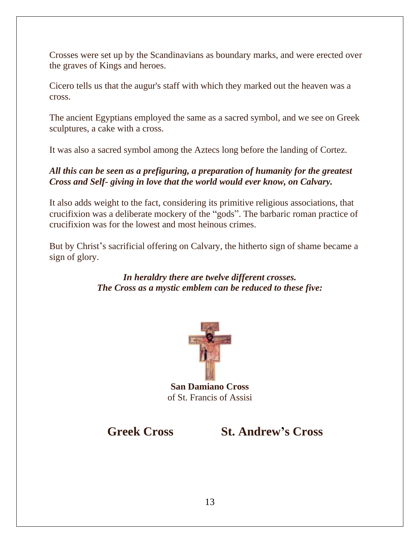Crosses were set up by the Scandinavians as boundary marks, and were erected over the graves of Kings and heroes.

Cicero tells us that the augur's staff with which they marked out the heaven was a cross.

The ancient Egyptians employed the same as a sacred symbol, and we see on Greek sculptures, a cake with a cross.

It was also a sacred symbol among the Aztecs long before the landing of Cortez.

#### *All this can be seen as a prefiguring, a preparation of humanity for the greatest Cross and Self- giving in love that the world would ever know, on Calvary.*

It also adds weight to the fact, considering its primitive religious associations, that crucifixion was a deliberate mockery of the "gods". The barbaric roman practice of crucifixion was for the lowest and most heinous crimes.

But by Christ's sacrificial offering on Calvary, the hitherto sign of shame became a sign of glory.

#### *In heraldry there are twelve different crosses. The Cross as a mystic emblem can be reduced to these five:*



**San Damiano Cross**  of St. Francis of Assisi

**Greek Cross St. Andrew's Cross**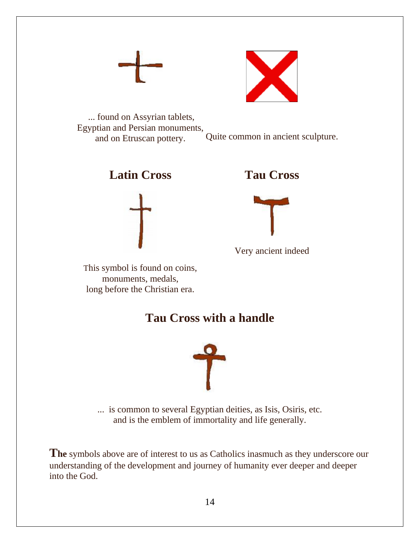



... found on Assyrian tablets, Egyptian and Persian monuments, and on Etruscan pottery. Quite common in ancient sculpture.





**Tau Cross**



Very ancient indeed

This symbol is found on coins, monuments, medals, long before the Christian era.

# **Tau Cross with a handle**



... is common to several Egyptian deities, as Isis, Osiris, etc. and is the emblem of immortality and life generally.

**The** symbols above are of interest to us as Catholics inasmuch as they underscore our understanding of the development and journey of humanity ever deeper and deeper into the God.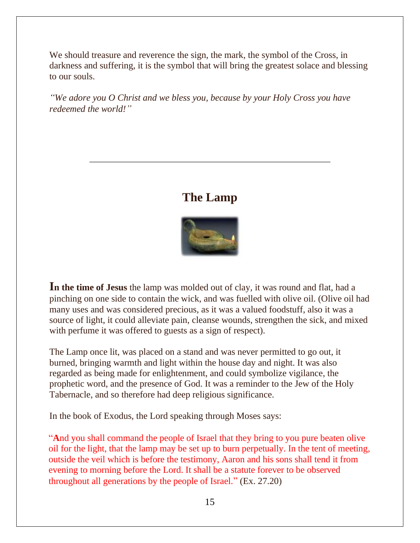We should treasure and reverence the sign, the mark, the symbol of the Cross, in darkness and suffering, it is the symbol that will bring the greatest solace and blessing to our souls.

*"We adore you O Christ and we bless you, because by your Holy Cross you have redeemed the world!"*

#### **The Lamp**



**In the time of Jesus** the lamp was molded out of clay, it was round and flat, had a pinching on one side to contain the wick, and was fuelled with olive oil. (Olive oil had many uses and was considered precious, as it was a valued foodstuff, also it was a source of light, it could alleviate pain, cleanse wounds, strengthen the sick, and mixed with perfume it was offered to guests as a sign of respect).

The Lamp once lit, was placed on a stand and was never permitted to go out, it burned, bringing warmth and light within the house day and night. It was also regarded as being made for enlightenment, and could symbolize vigilance, the prophetic word, and the presence of God. It was a reminder to the Jew of the Holy Tabernacle, and so therefore had deep religious significance.

In the book of Exodus, the Lord speaking through Moses says:

"**A**nd you shall command the people of Israel that they bring to you pure beaten olive oil for the light, that the lamp may be set up to burn perpetually. In the tent of meeting, outside the veil which is before the testimony, Aaron and his sons shall tend it from evening to morning before the Lord. It shall be a statute forever to be observed throughout all generations by the people of Israel." (Ex. 27.20)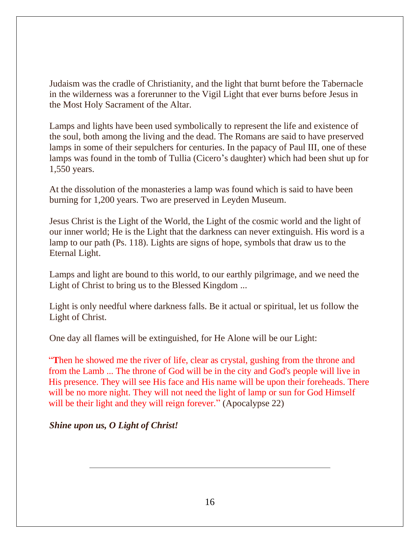Judaism was the cradle of Christianity, and the light that burnt before the Tabernacle in the wilderness was a forerunner to the Vigil Light that ever burns before Jesus in the Most Holy Sacrament of the Altar.

Lamps and lights have been used symbolically to represent the life and existence of the soul, both among the living and the dead. The Romans are said to have preserved lamps in some of their sepulchers for centuries. In the papacy of Paul III, one of these lamps was found in the tomb of Tullia (Cicero's daughter) which had been shut up for 1,550 years.

At the dissolution of the monasteries a lamp was found which is said to have been burning for 1,200 years. Two are preserved in Leyden Museum.

Jesus Christ is the Light of the World, the Light of the cosmic world and the light of our inner world; He is the Light that the darkness can never extinguish. His word is a lamp to our path (Ps. 118). Lights are signs of hope, symbols that draw us to the Eternal Light.

Lamps and light are bound to this world, to our earthly pilgrimage, and we need the Light of Christ to bring us to the Blessed Kingdom ...

Light is only needful where darkness falls. Be it actual or spiritual, let us follow the Light of Christ.

One day all flames will be extinguished, for He Alone will be our Light:

"**T**hen he showed me the river of life, clear as crystal, gushing from the throne and from the Lamb ... The throne of God will be in the city and God's people will live in His presence. They will see His face and His name will be upon their foreheads. There will be no more night. They will not need the light of lamp or sun for God Himself will be their light and they will reign forever." (Apocalypse 22)

*Shine upon us, O Light of Christ!*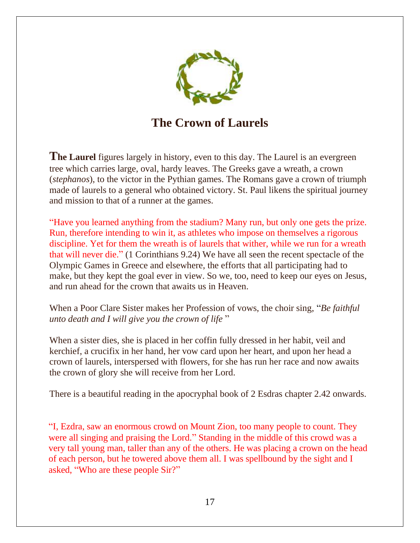

**The Crown of Laurels**

**The Laurel** figures largely in history, even to this day. The Laurel is an evergreen tree which carries large, oval, hardy leaves. The Greeks gave a wreath, a crown (*stephanos*), to the victor in the Pythian games. The Romans gave a crown of triumph made of laurels to a general who obtained victory. St. Paul likens the spiritual journey and mission to that of a runner at the games.

"Have you learned anything from the stadium? Many run, but only one gets the prize. Run, therefore intending to win it, as athletes who impose on themselves a rigorous discipline. Yet for them the wreath is of laurels that wither, while we run for a wreath that will never die." (1 Corinthians 9.24) We have all seen the recent spectacle of the Olympic Games in Greece and elsewhere, the efforts that all participating had to make, but they kept the goal ever in view. So we, too, need to keep our eyes on Jesus, and run ahead for the crown that awaits us in Heaven.

When a Poor Clare Sister makes her Profession of vows, the choir sing, "*Be faithful unto death and I will give you the crown of life* "

When a sister dies, she is placed in her coffin fully dressed in her habit, veil and kerchief, a crucifix in her hand, her vow card upon her heart, and upon her head a crown of laurels, interspersed with flowers, for she has run her race and now awaits the crown of glory she will receive from her Lord.

There is a beautiful reading in the apocryphal book of 2 Esdras chapter 2.42 onwards.

"I, Ezdra, saw an enormous crowd on Mount Zion, too many people to count. They were all singing and praising the Lord." Standing in the middle of this crowd was a very tall young man, taller than any of the others. He was placing a crown on the head of each person, but he towered above them all. I was spellbound by the sight and I asked, "Who are these people Sir?"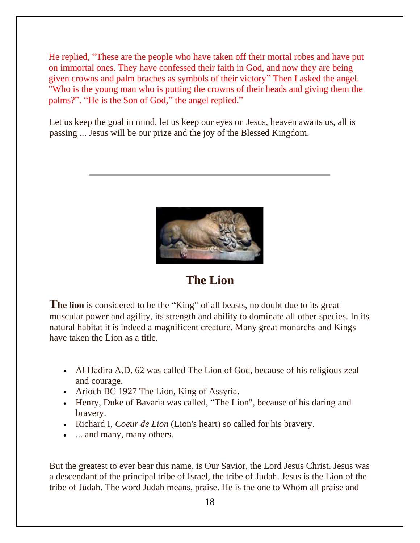He replied, "These are the people who have taken off their mortal robes and have put on immortal ones. They have confessed their faith in God, and now they are being given crowns and palm braches as symbols of their victory" Then I asked the angel. "Who is the young man who is putting the crowns of their heads and giving them the palms?". "He is the Son of God," the angel replied."

Let us keep the goal in mind, let us keep our eyes on Jesus, heaven awaits us, all is passing ... Jesus will be our prize and the joy of the Blessed Kingdom.



**The Lion**

**The lion** is considered to be the "King" of all beasts, no doubt due to its great muscular power and agility, its strength and ability to dominate all other species. In its natural habitat it is indeed a magnificent creature. Many great monarchs and Kings have taken the Lion as a title.

- Al Hadira A.D. 62 was called The Lion of God, because of his religious zeal and courage.
- Arioch BC 1927 The Lion, King of Assyria.
- Henry, Duke of Bavaria was called, "The Lion", because of his daring and bravery.
- Richard I, *Coeur de Lion* (Lion's heart) so called for his bravery.
- ... and many, many others.

But the greatest to ever bear this name, is Our Savior, the Lord Jesus Christ. Jesus was a descendant of the principal tribe of Israel, the tribe of Judah. Jesus is the Lion of the tribe of Judah. The word Judah means, praise. He is the one to Whom all praise and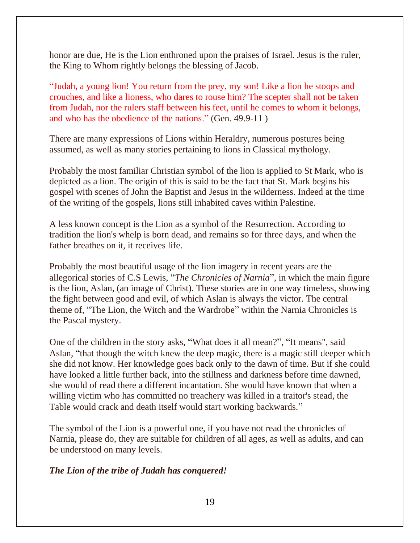honor are due, He is the Lion enthroned upon the praises of Israel. Jesus is the ruler, the King to Whom rightly belongs the blessing of Jacob.

"Judah, a young lion! You return from the prey, my son! Like a lion he stoops and crouches, and like a lioness, who dares to rouse him? The scepter shall not be taken from Judah, nor the rulers staff between his feet, until he comes to whom it belongs, and who has the obedience of the nations." (Gen. 49.9-11 )

There are many expressions of Lions within Heraldry, numerous postures being assumed, as well as many stories pertaining to lions in Classical mythology.

Probably the most familiar Christian symbol of the lion is applied to St Mark, who is depicted as a lion. The origin of this is said to be the fact that St. Mark begins his gospel with scenes of John the Baptist and Jesus in the wilderness. Indeed at the time of the writing of the gospels, lions still inhabited caves within Palestine.

A less known concept is the Lion as a symbol of the Resurrection. According to tradition the lion's whelp is born dead, and remains so for three days, and when the father breathes on it, it receives life.

Probably the most beautiful usage of the lion imagery in recent years are the allegorical stories of C.S Lewis, "*The Chronicles of Narnia*", in which the main figure is the lion, Aslan, (an image of Christ). These stories are in one way timeless, showing the fight between good and evil, of which Aslan is always the victor. The central theme of, "The Lion, the Witch and the Wardrobe" within the Narnia Chronicles is the Pascal mystery.

One of the children in the story asks, "What does it all mean?", "It means", said Aslan, "that though the witch knew the deep magic, there is a magic still deeper which she did not know. Her knowledge goes back only to the dawn of time. But if she could have looked a little further back, into the stillness and darkness before time dawned, she would of read there a different incantation. She would have known that when a willing victim who has committed no treachery was killed in a traitor's stead, the Table would crack and death itself would start working backwards."

The symbol of the Lion is a powerful one, if you have not read the chronicles of Narnia, please do, they are suitable for children of all ages, as well as adults, and can be understood on many levels.

#### *The Lion of the tribe of Judah has conquered!*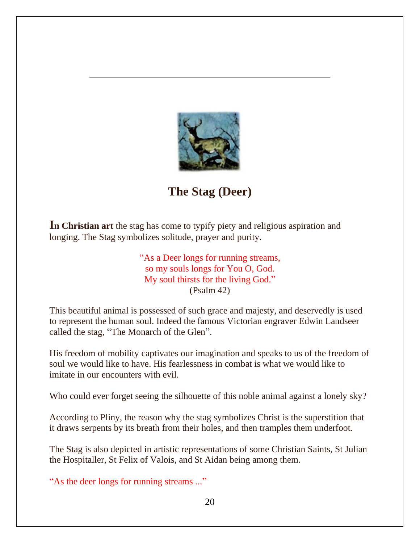

**The Stag (Deer)**

**In Christian art** the stag has come to typify piety and religious aspiration and longing. The Stag symbolizes solitude, prayer and purity.

> "As a Deer longs for running streams, so my souls longs for You O, God. My soul thirsts for the living God." (Psalm 42)

This beautiful animal is possessed of such grace and majesty, and deservedly is used to represent the human soul. Indeed the famous Victorian engraver Edwin Landseer called the stag, "The Monarch of the Glen".

His freedom of mobility captivates our imagination and speaks to us of the freedom of soul we would like to have. His fearlessness in combat is what we would like to imitate in our encounters with evil.

Who could ever forget seeing the silhouette of this noble animal against a lonely sky?

According to Pliny, the reason why the stag symbolizes Christ is the superstition that it draws serpents by its breath from their holes, and then tramples them underfoot.

The Stag is also depicted in artistic representations of some Christian Saints, St Julian the Hospitaller, St Felix of Valois, and St Aidan being among them.

"As the deer longs for running streams ..."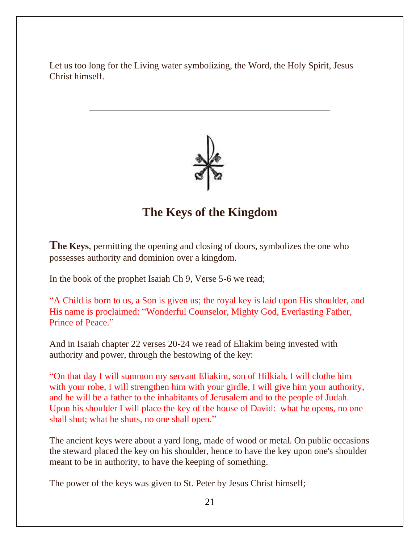Let us too long for the Living water symbolizing, the Word, the Holy Spirit, Jesus Christ himself.



### **The Keys of the Kingdom**

**The Keys**, permitting the opening and closing of doors, symbolizes the one who possesses authority and dominion over a kingdom.

In the book of the prophet Isaiah Ch 9, Verse 5-6 we read;

"A Child is born to us, a Son is given us; the royal key is laid upon His shoulder, and His name is proclaimed: "Wonderful Counselor, Mighty God, Everlasting Father, Prince of Peace."

And in Isaiah chapter 22 verses 20-24 we read of Eliakim being invested with authority and power, through the bestowing of the key:

"On that day I will summon my servant Eliakim, son of Hilkiah. I will clothe him with your robe, I will strengthen him with your girdle, I will give him your authority, and he will be a father to the inhabitants of Jerusalem and to the people of Judah. Upon his shoulder I will place the key of the house of David: what he opens, no one shall shut; what he shuts, no one shall open."

The ancient keys were about a yard long, made of wood or metal. On public occasions the steward placed the key on his shoulder, hence to have the key upon one's shoulder meant to be in authority, to have the keeping of something.

The power of the keys was given to St. Peter by Jesus Christ himself;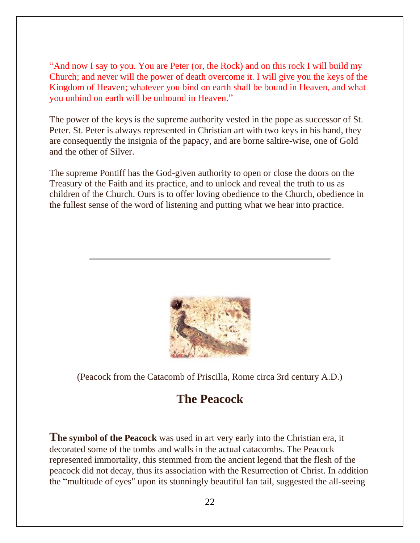"And now I say to you. You are Peter (or, the Rock) and on this rock I will build my Church; and never will the power of death overcome it. I will give you the keys of the Kingdom of Heaven; whatever you bind on earth shall be bound in Heaven, and what you unbind on earth will be unbound in Heaven."

The power of the keys is the supreme authority vested in the pope as successor of St. Peter. St. Peter is always represented in Christian art with two keys in his hand, they are consequently the insignia of the papacy, and are borne saltire-wise, one of Gold and the other of Silver.

The supreme Pontiff has the God-given authority to open or close the doors on the Treasury of the Faith and its practice, and to unlock and reveal the truth to us as children of the Church. Ours is to offer loving obedience to the Church, obedience in the fullest sense of the word of listening and putting what we hear into practice.



(Peacock from the Catacomb of Priscilla, Rome circa 3rd century A.D.)

# **The Peacock**

**The symbol of the Peacock** was used in art very early into the Christian era, it decorated some of the tombs and walls in the actual catacombs. The Peacock represented immortality, this stemmed from the ancient legend that the flesh of the peacock did not decay, thus its association with the Resurrection of Christ. In addition the "multitude of eyes" upon its stunningly beautiful fan tail, suggested the all-seeing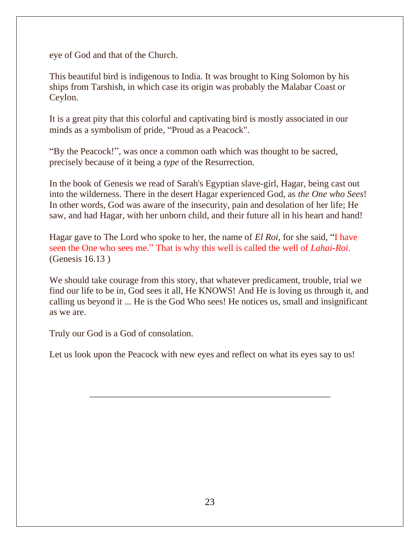eye of God and that of the Church.

This beautiful bird is indigenous to India. It was brought to King Solomon by his ships from Tarshish, in which case its origin was probably the Malabar Coast or Ceylon.

It is a great pity that this colorful and captivating bird is mostly associated in our minds as a symbolism of pride, "Proud as a Peacock".

"By the Peacock!", was once a common oath which was thought to be sacred, precisely because of it being a *type* of the Resurrection.

In the book of Genesis we read of Sarah's Egyptian slave-girl, Hagar, being cast out into the wilderness. There in the desert Hagar experienced God, as *the One who Sees*! In other words, God was aware of the insecurity, pain and desolation of her life; He saw, and had Hagar, with her unborn child, and their future all in his heart and hand!

Hagar gave to The Lord who spoke to her, the name of *El Roi*, for she said, "I have seen the One who sees me." That is why this well is called the well of *Lahai-Roi*. (Genesis 16.13 )

We should take courage from this story, that whatever predicament, trouble, trial we find our life to be in, God sees it all, He KNOWS! And He is loving us through it, and calling us beyond it ... He is the God Who sees! He notices us, small and insignificant as we are.

Truly our God is a God of consolation.

Let us look upon the Peacock with new eyes and reflect on what its eyes say to us!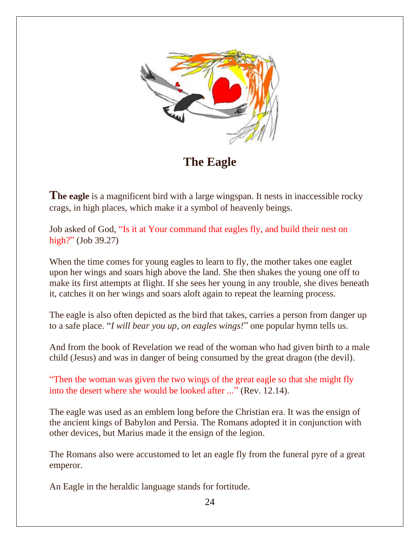

**The Eagle**

**The eagle** is a magnificent bird with a large wingspan. It nests in inaccessible rocky crags, in high places, which make it a symbol of heavenly beings.

Job asked of God, "Is it at Your command that eagles fly, and build their nest on high?" (Job 39.27)

When the time comes for young eagles to learn to fly, the mother takes one eaglet upon her wings and soars high above the land. She then shakes the young one off to make its first attempts at flight. If she sees her young in any trouble, she dives beneath it, catches it on her wings and soars aloft again to repeat the learning process.

The eagle is also often depicted as the bird that takes, carries a person from danger up to a safe place. "*I will bear you up, on eagles wings!*" one popular hymn tells us.

And from the book of Revelation we read of the woman who had given birth to a male child (Jesus) and was in danger of being consumed by the great dragon (the devil).

"Then the woman was given the two wings of the great eagle so that she might fly into the desert where she would be looked after ..." (Rev. 12.14).

The eagle was used as an emblem long before the Christian era. It was the ensign of the ancient kings of Babylon and Persia. The Romans adopted it in conjunction with other devices, but Marius made it the ensign of the legion.

The Romans also were accustomed to let an eagle fly from the funeral pyre of a great emperor.

An Eagle in the heraldic language stands for fortitude.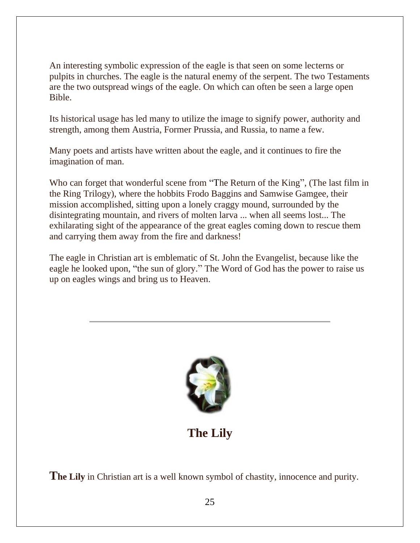An interesting symbolic expression of the eagle is that seen on some lecterns or pulpits in churches. The eagle is the natural enemy of the serpent. The two Testaments are the two outspread wings of the eagle. On which can often be seen a large open Bible.

Its historical usage has led many to utilize the image to signify power, authority and strength, among them Austria, Former Prussia, and Russia, to name a few.

Many poets and artists have written about the eagle, and it continues to fire the imagination of man.

Who can forget that wonderful scene from "The Return of the King", (The last film in the Ring Trilogy), where the hobbits Frodo Baggins and Samwise Gamgee, their mission accomplished, sitting upon a lonely craggy mound, surrounded by the disintegrating mountain, and rivers of molten larva ... when all seems lost... The exhilarating sight of the appearance of the great eagles coming down to rescue them and carrying them away from the fire and darkness!

The eagle in Christian art is emblematic of St. John the Evangelist, because like the eagle he looked upon, "the sun of glory." The Word of God has the power to raise us up on eagles wings and bring us to Heaven.



# **The Lily**

**The Lily** in Christian art is a well known symbol of chastity, innocence and purity.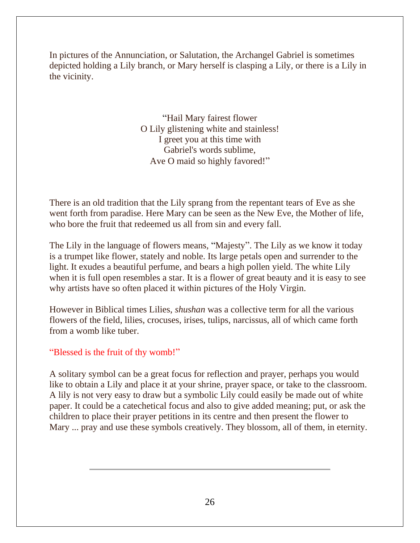In pictures of the Annunciation, or Salutation, the Archangel Gabriel is sometimes depicted holding a Lily branch, or Mary herself is clasping a Lily, or there is a Lily in the vicinity.

> "Hail Mary fairest flower O Lily glistening white and stainless! I greet you at this time with Gabriel's words sublime, Ave O maid so highly favored!"

There is an old tradition that the Lily sprang from the repentant tears of Eve as she went forth from paradise. Here Mary can be seen as the New Eve, the Mother of life, who bore the fruit that redeemed us all from sin and every fall.

The Lily in the language of flowers means, "Majesty". The Lily as we know it today is a trumpet like flower, stately and noble. Its large petals open and surrender to the light. It exudes a beautiful perfume, and bears a high pollen yield. The white Lily when it is full open resembles a star. It is a flower of great beauty and it is easy to see why artists have so often placed it within pictures of the Holy Virgin.

However in Biblical times Lilies, *shushan* was a collective term for all the various flowers of the field, lilies, crocuses, irises, tulips, narcissus, all of which came forth from a womb like tuber.

#### "Blessed is the fruit of thy womb!"

A solitary symbol can be a great focus for reflection and prayer, perhaps you would like to obtain a Lily and place it at your shrine, prayer space, or take to the classroom. A lily is not very easy to draw but a symbolic Lily could easily be made out of white paper. It could be a catechetical focus and also to give added meaning; put, or ask the children to place their prayer petitions in its centre and then present the flower to Mary ... pray and use these symbols creatively. They blossom, all of them, in eternity.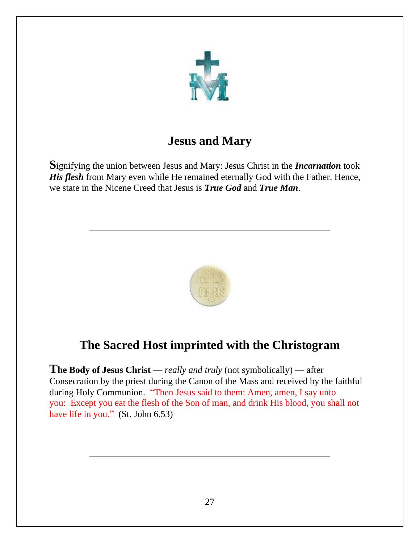

# **Jesus and Mary**

**S**ignifying the union between Jesus and Mary: Jesus Christ in the *Incarnation* took *His flesh* from Mary even while He remained eternally God with the Father. Hence, we state in the Nicene Creed that Jesus is *True God* and *True Man*.



# **The Sacred Host imprinted with the Christogram**

**The Body of Jesus Christ** — *really and truly* (not symbolically) — after Consecration by the priest during the Canon of the Mass and received by the faithful during Holy Communion. "Then Jesus said to them: Amen, amen, I say unto you: Except you eat the flesh of the Son of man, and drink His blood, you shall not have life in you." (St. John 6.53)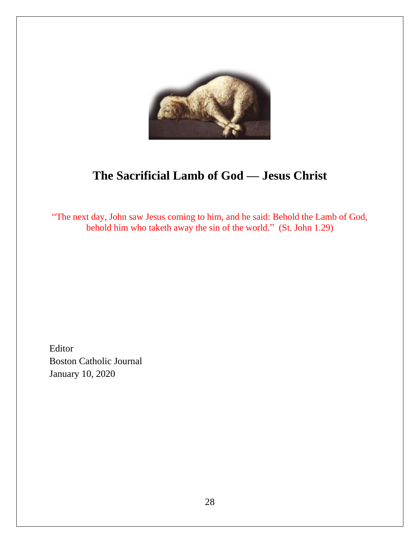

# **The Sacrificial Lamb of God — Jesus Christ**

"The next day, John saw Jesus coming to him, and he said: Behold the Lamb of God, behold him who taketh away the sin of the world." (St. John 1.29)

Editor Boston Catholic Journal January 10, 2020